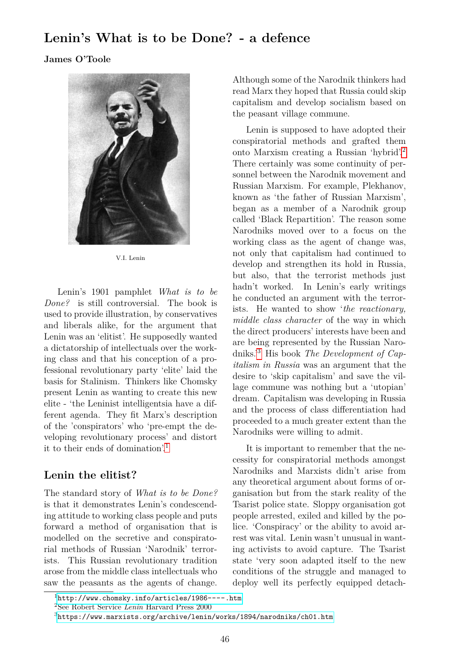## **Lenin's What is to be Done? - a defence**

**James O'Toole**



V.I. Lenin

Lenin's 1901 pamphlet *What is to be Done?* is still controversial. The book is used to provide illustration, by conservatives and liberals alike, for the argument that Lenin was an 'elitist'. He supposedly wanted a dictatorship of intellectuals over the working class and that his conception of a professional revolutionary party 'elite' laid the basis for Stalinism. Thinkers like Chomsky present Lenin as wanting to create this new elite - 'the Leninist intelligentsia have a different agenda. They fit Marx's description of the 'conspirators' who 'pre-empt the developing revolutionary process' and distort it to their ends of domination'.[1](#page-0-0)

#### **Lenin the elitist?**

The standard story of *What is to be Done?* is that it demonstrates Lenin's condescending attitude to working class people and puts forward a method of organisation that is modelled on the secretive and conspiratorial methods of Russian 'Narodnik' terrorists. This Russian revolutionary tradition arose from the middle class intellectuals who saw the peasants as the agents of change.

Although some of the Narodnik thinkers had read Marx they hoped that Russia could skip capitalism and develop socialism based on the peasant village commune.

Lenin is supposed to have adopted their conspiratorial methods and grafted them onto Marxism creating a Russian 'hybrid'.[2](#page-0-1) There certainly was some continuity of personnel between the Narodnik movement and Russian Marxism. For example, Plekhanov, known as 'the father of Russian Marxism', began as a member of a Narodnik group called 'Black Repartition'. The reason some Narodniks moved over to a focus on the working class as the agent of change was, not only that capitalism had continued to develop and strengthen its hold in Russia, but also, that the terrorist methods just hadn't worked. In Lenin's early writings he conducted an argument with the terrorists. He wanted to show '*the reactionary, middle class character* of the way in which the direct producers' interests have been and are being represented by the Russian Narodniks.'[3](#page-0-2) His book *The Development of Capitalism in Russia* was an argument that the desire to 'skip capitalism' and save the village commune was nothing but a 'utopian' dream. Capitalism was developing in Russia and the process of class differentiation had proceeded to a much greater extent than the Narodniks were willing to admit.

It is important to remember that the necessity for conspiratorial methods amongst Narodniks and Marxists didn't arise from any theoretical argument about forms of organisation but from the stark reality of the Tsarist police state. Sloppy organisation got people arrested, exiled and killed by the police. 'Conspiracy' or the ability to avoid arrest was vital. Lenin wasn't unusual in wanting activists to avoid capture. The Tsarist state 'very soon adapted itself to the new conditions of the struggle and managed to deploy well its perfectly equipped detach-

<span id="page-0-0"></span> $1$ <http://www.chomsky.info/articles/1986----.htm>

<span id="page-0-1"></span><sup>2</sup>See Robert Service *Lenin* Harvard Press 2000

<span id="page-0-2"></span><sup>3</sup><https://www.marxists.org/archive/lenin/works/1894/narodniks/ch01.htm>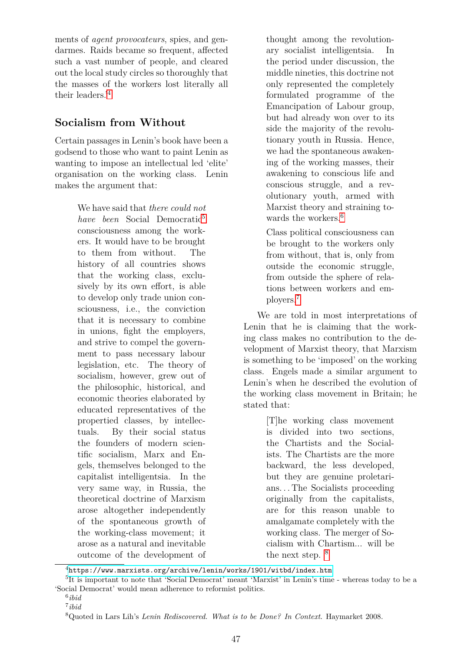ments of *agent provocateurs*, spies, and gendarmes. Raids became so frequent, affected such a vast number of people, and cleared out the local study circles so thoroughly that the masses of the workers lost literally all their leaders.'[4](#page-1-0)

### **Socialism from Without**

Certain passages in Lenin's book have been a godsend to those who want to paint Lenin as wanting to impose an intellectual led 'elite' organisation on the working class. Lenin makes the argument that:

> We have said that *there could not have been* Social Democratic<sup>[5](#page-1-1)</sup> consciousness among the workers. It would have to be brought to them from without. The history of all countries shows that the working class, exclusively by its own effort, is able to develop only trade union consciousness, i.e., the conviction that it is necessary to combine in unions, fight the employers, and strive to compel the government to pass necessary labour legislation, etc. The theory of socialism, however, grew out of the philosophic, historical, and economic theories elaborated by educated representatives of the propertied classes, by intellectuals. By their social status the founders of modern scientific socialism, Marx and Engels, themselves belonged to the capitalist intelligentsia. In the very same way, in Russia, the theoretical doctrine of Marxism arose altogether independently of the spontaneous growth of the working-class movement; it arose as a natural and inevitable outcome of the development of

thought among the revolutionary socialist intelligentsia. In the period under discussion, the middle nineties, this doctrine not only represented the completely formulated programme of the Emancipation of Labour group, but had already won over to its side the majority of the revolutionary youth in Russia. Hence, we had the spontaneous awakening of the working masses, their awakening to conscious life and conscious struggle, and a revolutionary youth, armed with Marxist theory and straining to-wards the workers.<sup>[6](#page-1-2)</sup>

Class political consciousness can be brought to the workers only from without, that is, only from outside the economic struggle, from outside the sphere of relations between workers and employers.[7](#page-1-3)

We are told in most interpretations of Lenin that he is claiming that the working class makes no contribution to the development of Marxist theory, that Marxism is something to be 'imposed' on the working class. Engels made a similar argument to Lenin's when he described the evolution of the working class movement in Britain; he stated that:

> [T]he working class movement is divided into two sections, the Chartists and the Socialists. The Chartists are the more backward, the less developed, but they are genuine proletarians. . . The Socialists proceeding originally from the capitalists, are for this reason unable to amalgamate completely with the working class. The merger of Socialism with Chartism... will be the next step.  $8$

<span id="page-1-1"></span><span id="page-1-0"></span><sup>4</sup><https://www.marxists.org/archive/lenin/works/1901/witbd/index.htm>

<sup>&</sup>lt;sup>5</sup>It is important to note that 'Social Democrat' meant 'Marxist' in Lenin's time - whereas today to be a 'Social Democrat' would mean adherence to reformist politics.

<span id="page-1-3"></span><span id="page-1-2"></span><sup>6</sup> *ibid* 7 *ibid*

<span id="page-1-4"></span><sup>8</sup>Quoted in Lars Lih's *Lenin Rediscovered. What is to be Done? In Context*. Haymarket 2008.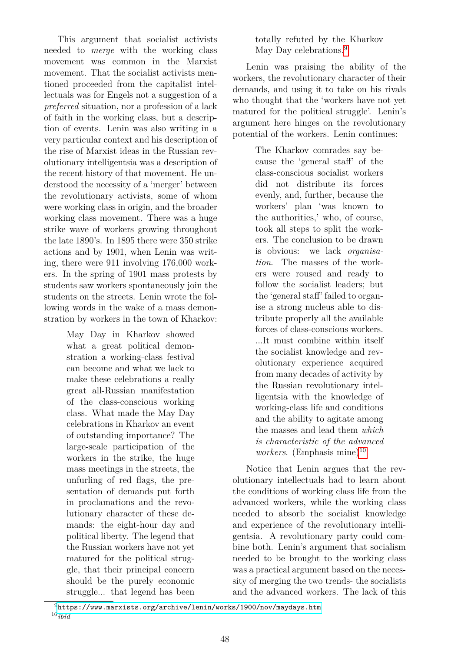This argument that socialist activists needed to *merge* with the working class movement was common in the Marxist movement. That the socialist activists mentioned proceeded from the capitalist intellectuals was for Engels not a suggestion of a *preferred* situation, nor a profession of a lack of faith in the working class, but a description of events. Lenin was also writing in a very particular context and his description of the rise of Marxist ideas in the Russian revolutionary intelligentsia was a description of the recent history of that movement. He understood the necessity of a 'merger' between the revolutionary activists, some of whom were working class in origin, and the broader working class movement. There was a huge strike wave of workers growing throughout the late 1890's. In 1895 there were 350 strike actions and by 1901, when Lenin was writing, there were 911 involving 176,000 workers. In the spring of 1901 mass protests by students saw workers spontaneously join the students on the streets. Lenin wrote the following words in the wake of a mass demonstration by workers in the town of Kharkov:

> May Day in Kharkov showed what a great political demonstration a working-class festival can become and what we lack to make these celebrations a really great all-Russian manifestation of the class-conscious working class. What made the May Day celebrations in Kharkov an event of outstanding importance? The large-scale participation of the workers in the strike, the huge mass meetings in the streets, the unfurling of red flags, the presentation of demands put forth in proclamations and the revolutionary character of these demands: the eight-hour day and political liberty. The legend that the Russian workers have not yet matured for the political struggle, that their principal concern should be the purely economic struggle... that legend has been

totally refuted by the Kharkov May Day celebrations.<sup>[9](#page-2-0)</sup>

Lenin was praising the ability of the workers, the revolutionary character of their demands, and using it to take on his rivals who thought that the 'workers have not yet matured for the political struggle'. Lenin's argument here hinges on the revolutionary potential of the workers. Lenin continues:

> The Kharkov comrades say because the 'general staff' of the class-conscious socialist workers did not distribute its forces evenly, and, further, because the workers' plan 'was known to the authorities,' who, of course, took all steps to split the workers. The conclusion to be drawn is obvious: we lack *organisation*. The masses of the workers were roused and ready to follow the socialist leaders; but the 'general staff' failed to organise a strong nucleus able to distribute properly all the available forces of class-conscious workers. ...It must combine within itself the socialist knowledge and revolutionary experience acquired from many decades of activity by the Russian revolutionary intelligentsia with the knowledge of working-class life and conditions and the ability to agitate among the masses and lead them *which is characteristic of the advanced workers.* (Emphasis mine)<sup>[10](#page-2-1)</sup>

Notice that Lenin argues that the revolutionary intellectuals had to learn about the conditions of working class life from the advanced workers, while the working class needed to absorb the socialist knowledge and experience of the revolutionary intelligentsia. A revolutionary party could combine both. Lenin's argument that socialism needed to be brought to the working class was a practical argument based on the necessity of merging the two trends- the socialists and the advanced workers. The lack of this

<span id="page-2-1"></span><span id="page-2-0"></span> $9$ <https://www.marxists.org/archive/lenin/works/1900/nov/maydays.htm> <sup>10</sup>*ibid*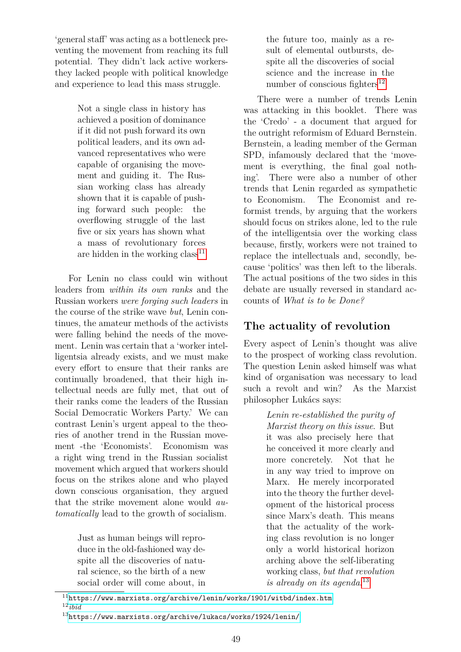'general staff' was acting as a bottleneck preventing the movement from reaching its full potential. They didn't lack active workersthey lacked people with political knowledge and experience to lead this mass struggle.

> Not a single class in history has achieved a position of dominance if it did not push forward its own political leaders, and its own advanced representatives who were capable of organising the movement and guiding it. The Russian working class has already shown that it is capable of pushing forward such people: the overflowing struggle of the last five or six years has shown what a mass of revolutionary forces are hidden in the working class<sup>[11](#page-3-0)</sup>

For Lenin no class could win without leaders from *within its own ranks* and the Russian workers *were forging such leaders* in the course of the strike wave *but*, Lenin continues, the amateur methods of the activists were falling behind the needs of the movement. Lenin was certain that a 'worker intelligentsia already exists, and we must make every effort to ensure that their ranks are continually broadened, that their high intellectual needs are fully met, that out of their ranks come the leaders of the Russian Social Democratic Workers Party.' We can contrast Lenin's urgent appeal to the theories of another trend in the Russian movement -the 'Economists'. Economism was a right wing trend in the Russian socialist movement which argued that workers should focus on the strikes alone and who played down conscious organisation, they argued that the strike movement alone would *automatically* lead to the growth of socialism.

> Just as human beings will reproduce in the old-fashioned way despite all the discoveries of natural science, so the birth of a new social order will come about, in

the future too, mainly as a result of elemental outbursts, despite all the discoveries of social science and the increase in the number of conscious fighters<sup>[12](#page-3-1)</sup>

There were a number of trends Lenin was attacking in this booklet. There was the 'Credo' - a document that argued for the outright reformism of Eduard Bernstein. Bernstein, a leading member of the German SPD, infamously declared that the 'movement is everything, the final goal nothing'. There were also a number of other trends that Lenin regarded as sympathetic to Economism. The Economist and reformist trends, by arguing that the workers should focus on strikes alone, led to the rule of the intelligentsia over the working class because, firstly, workers were not trained to replace the intellectuals and, secondly, because 'politics' was then left to the liberals. The actual positions of the two sides in this debate are usually reversed in standard accounts of *What is to be Done?*

#### **The actuality of revolution**

Every aspect of Lenin's thought was alive to the prospect of working class revolution. The question Lenin asked himself was what kind of organisation was necessary to lead such a revolt and win? As the Marxist philosopher Lukács says:

> *Lenin re-established the purity of Marxist theory on this issue*. But it was also precisely here that he conceived it more clearly and more concretely. Not that he in any way tried to improve on Marx. He merely incorporated into the theory the further development of the historical process since Marx's death. This means that the actuality of the working class revolution is no longer only a world historical horizon arching above the self-liberating working class, *but that revolution is already on its agenda*. [13](#page-3-2)

<span id="page-3-0"></span> $11$ <https://www.marxists.org/archive/lenin/works/1901/witbd/index.htm>

<span id="page-3-1"></span><sup>12</sup>*ibid*

<span id="page-3-2"></span><sup>13</sup><https://www.marxists.org/archive/lukacs/works/1924/lenin/>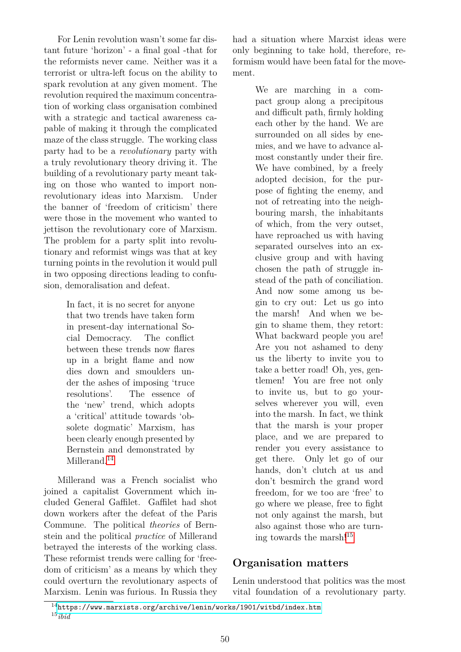For Lenin revolution wasn't some far distant future 'horizon' - a final goal -that for the reformists never came. Neither was it a terrorist or ultra-left focus on the ability to spark revolution at any given moment. The revolution required the maximum concentration of working class organisation combined with a strategic and tactical awareness capable of making it through the complicated maze of the class struggle. The working class party had to be a *revolutionary* party with a truly revolutionary theory driving it. The building of a revolutionary party meant taking on those who wanted to import nonrevolutionary ideas into Marxism. Under the banner of 'freedom of criticism' there were those in the movement who wanted to jettison the revolutionary core of Marxism. The problem for a party split into revolutionary and reformist wings was that at key turning points in the revolution it would pull in two opposing directions leading to confusion, demoralisation and defeat.

> In fact, it is no secret for anyone that two trends have taken form in present-day international Social Democracy. The conflict between these trends now flares up in a bright flame and now dies down and smoulders under the ashes of imposing 'truce resolutions'. The essence of the 'new' trend, which adopts a 'critical' attitude towards 'obsolete dogmatic' Marxism, has been clearly enough presented by Bernstein and demonstrated by Millerand.[14](#page-4-0)

Millerand was a French socialist who joined a capitalist Government which included General Gaffilet. Gaffilet had shot down workers after the defeat of the Paris Commune. The political *theories* of Bernstein and the political *practice* of Millerand betrayed the interests of the working class. These reformist trends were calling for 'freedom of criticism' as a means by which they could overturn the revolutionary aspects of Marxism. Lenin was furious. In Russia they

had a situation where Marxist ideas were only beginning to take hold, therefore, reformism would have been fatal for the movement.

> We are marching in a compact group along a precipitous and difficult path, firmly holding each other by the hand. We are surrounded on all sides by enemies, and we have to advance almost constantly under their fire. We have combined, by a freely adopted decision, for the purpose of fighting the enemy, and not of retreating into the neighbouring marsh, the inhabitants of which, from the very outset, have reproached us with having separated ourselves into an exclusive group and with having chosen the path of struggle instead of the path of conciliation. And now some among us begin to cry out: Let us go into the marsh! And when we begin to shame them, they retort: What backward people you are! Are you not ashamed to deny us the liberty to invite you to take a better road! Oh, yes, gentlemen! You are free not only to invite us, but to go yourselves wherever you will, even into the marsh. In fact, we think that the marsh is your proper place, and we are prepared to render you every assistance to get there. Only let go of our hands, don't clutch at us and don't besmirch the grand word freedom, for we too are 'free' to go where we please, free to fight not only against the marsh, but also against those who are turning towards the marsh![15](#page-4-1)

### **Organisation matters**

Lenin understood that politics was the most vital foundation of a revolutionary party.

<span id="page-4-1"></span><span id="page-4-0"></span> $14$ <https://www.marxists.org/archive/lenin/works/1901/witbd/index.htm> <sup>15</sup>*ibid*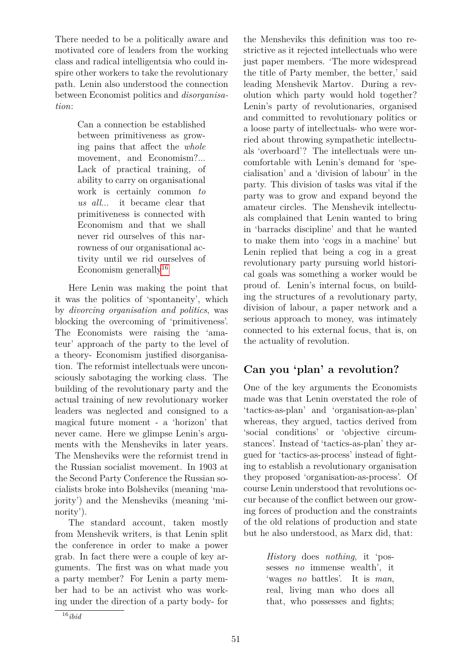There needed to be a politically aware and motivated core of leaders from the working class and radical intelligentsia who could inspire other workers to take the revolutionary path. Lenin also understood the connection between Economist politics and *disorganisation*:

> Can a connection be established between primitiveness as growing pains that affect the *whole* movement, and Economism?... Lack of practical training, of ability to carry on organisational work is certainly common *to us all*... it became clear that primitiveness is connected with Economism and that we shall never rid ourselves of this narrowness of our organisational activity until we rid ourselves of Economism generally<sup>[16](#page-5-0)</sup>

Here Lenin was making the point that it was the politics of 'spontaneity', which by *divorcing organisation and politics*, was blocking the overcoming of 'primitiveness'. The Economists were raising the 'amateur' approach of the party to the level of a theory- Economism justified disorganisation. The reformist intellectuals were unconsciously sabotaging the working class. The building of the revolutionary party and the actual training of new revolutionary worker leaders was neglected and consigned to a magical future moment - a 'horizon' that never came. Here we glimpse Lenin's arguments with the Mensheviks in later years. The Mensheviks were the reformist trend in the Russian socialist movement. In 1903 at the Second Party Conference the Russian socialists broke into Bolsheviks (meaning 'majority') and the Mensheviks (meaning 'minority').

<span id="page-5-0"></span>The standard account, taken mostly from Menshevik writers, is that Lenin split the conference in order to make a power grab. In fact there were a couple of key arguments. The first was on what made you a party member? For Lenin a party member had to be an activist who was working under the direction of a party body- for the Mensheviks this definition was too restrictive as it rejected intellectuals who were just paper members. 'The more widespread the title of Party member, the better,' said leading Menshevik Martov. During a revolution which party would hold together? Lenin's party of revolutionaries, organised and committed to revolutionary politics or a loose party of intellectuals- who were worried about throwing sympathetic intellectuals 'overboard'? The intellectuals were uncomfortable with Lenin's demand for 'specialisation' and a 'division of labour' in the party. This division of tasks was vital if the party was to grow and expand beyond the amateur circles. The Menshevik intellectuals complained that Lenin wanted to bring in 'barracks discipline' and that he wanted to make them into 'cogs in a machine' but Lenin replied that being a cog in a great revolutionary party pursuing world historical goals was something a worker would be proud of. Lenin's internal focus, on building the structures of a revolutionary party, division of labour, a paper network and a serious approach to money, was intimately connected to his external focus, that is, on the actuality of revolution.

### **Can you 'plan' a revolution?**

One of the key arguments the Economists made was that Lenin overstated the role of 'tactics-as-plan' and 'organisation-as-plan' whereas, they argued, tactics derived from 'social conditions' or 'objective circumstances'. Instead of 'tactics-as-plan' they argued for 'tactics-as-process' instead of fighting to establish a revolutionary organisation they proposed 'organisation-as-process'. Of course Lenin understood that revolutions occur because of the conflict between our growing forces of production and the constraints of the old relations of production and state but he also understood, as Marx did, that:

> *History* does *nothing*, it 'possesses *no* immense wealth', it 'wages *no* battles'. It is *man*, real, living man who does all that, who possesses and fights;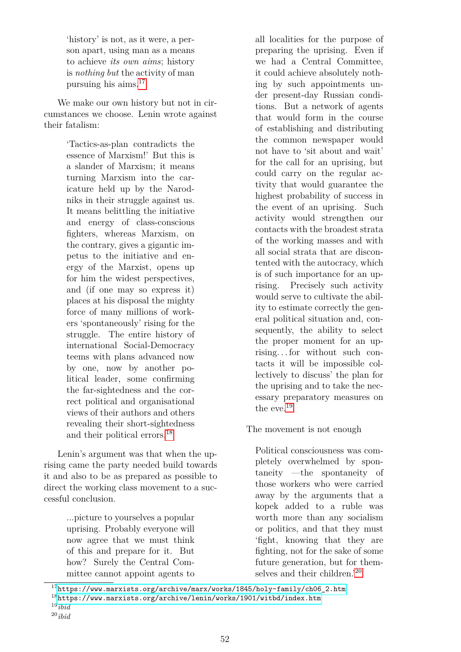'history' is not, as it were, a person apart, using man as a means to achieve *its own aims*; history is *nothing but* the activity of man pursuing his aims.[17](#page-6-0)

We make our own history but not in circumstances we choose. Lenin wrote against their fatalism:

> 'Tactics-as-plan contradicts the essence of Marxism!' But this is a slander of Marxism; it means turning Marxism into the caricature held up by the Narodniks in their struggle against us. It means belittling the initiative and energy of class-conscious fighters, whereas Marxism, on the contrary, gives a gigantic impetus to the initiative and energy of the Marxist, opens up for him the widest perspectives, and (if one may so express it) places at his disposal the mighty force of many millions of workers 'spontaneously' rising for the struggle. The entire history of international Social-Democracy teems with plans advanced now by one, now by another political leader, some confirming the far-sightedness and the correct political and organisational views of their authors and others revealing their short-sightedness and their political errors.[18](#page-6-1)

Lenin's argument was that when the uprising came the party needed build towards it and also to be as prepared as possible to direct the working class movement to a successful conclusion.

> ...picture to yourselves a popular uprising. Probably everyone will now agree that we must think of this and prepare for it. But how? Surely the Central Committee cannot appoint agents to

all localities for the purpose of preparing the uprising. Even if we had a Central Committee, it could achieve absolutely nothing by such appointments under present-day Russian conditions. But a network of agents that would form in the course of establishing and distributing the common newspaper would not have to 'sit about and wait' for the call for an uprising, but could carry on the regular activity that would guarantee the highest probability of success in the event of an uprising. Such activity would strengthen our contacts with the broadest strata of the working masses and with all social strata that are discontented with the autocracy, which is of such importance for an uprising. Precisely such activity would serve to cultivate the ability to estimate correctly the general political situation and, consequently, the ability to select the proper moment for an uprising. . . for without such contacts it will be impossible collectively to discuss' the plan for the uprising and to take the necessary preparatory measures on the eve.<sup>[19](#page-6-2)</sup>

The movement is not enough

Political consciousness was completely overwhelmed by spontaneity —the spontaneity of those workers who were carried away by the arguments that a kopek added to a ruble was worth more than any socialism or politics, and that they must 'fight, knowing that they are fighting, not for the sake of some future generation, but for them-selves and their children.<sup>'[20](#page-6-3)</sup>

<span id="page-6-3"></span><span id="page-6-2"></span><span id="page-6-1"></span><span id="page-6-0"></span> $17$ https://www.marxists.org/archive/marx/works/1845/holy-family/ch06 2.htm <sup>18</sup><https://www.marxists.org/archive/lenin/works/1901/witbd/index.htm> <sup>19</sup>*ibid* <sup>20</sup>*ibid*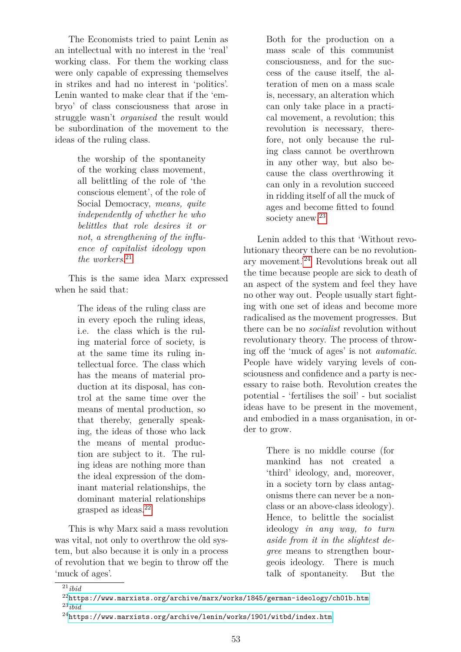The Economists tried to paint Lenin as an intellectual with no interest in the 'real' working class. For them the working class were only capable of expressing themselves in strikes and had no interest in 'politics'. Lenin wanted to make clear that if the 'embryo' of class consciousness that arose in struggle wasn't *organised* the result would be subordination of the movement to the ideas of the ruling class.

> the worship of the spontaneity of the working class movement, all belittling of the role of 'the conscious element', of the role of Social Democracy, *means, quite independently of whether he who belittles that role desires it or not, a strengthening of the influence of capitalist ideology upon the workers*. [21](#page-7-0)

This is the same idea Marx expressed when he said that:

> The ideas of the ruling class are in every epoch the ruling ideas, i.e. the class which is the ruling material force of society, is at the same time its ruling intellectual force. The class which has the means of material production at its disposal, has control at the same time over the means of mental production, so that thereby, generally speaking, the ideas of those who lack the means of mental production are subject to it. The ruling ideas are nothing more than the ideal expression of the dominant material relationships, the dominant material relationships grasped as ideas.[22](#page-7-1)

This is why Marx said a mass revolution was vital, not only to overthrow the old system, but also because it is only in a process of revolution that we begin to throw off the 'muck of ages'.

Both for the production on a mass scale of this communist consciousness, and for the success of the cause itself, the alteration of men on a mass scale is, necessary, an alteration which can only take place in a practical movement, a revolution; this revolution is necessary, therefore, not only because the ruling class cannot be overthrown in any other way, but also because the class overthrowing it can only in a revolution succeed in ridding itself of all the muck of ages and become fitted to found society anew.<sup>[23](#page-7-2)</sup>

Lenin added to this that 'Without revolutionary theory there can be no revolutionary movement.'[24](#page-7-3) Revolutions break out all the time because people are sick to death of an aspect of the system and feel they have no other way out. People usually start fighting with one set of ideas and become more radicalised as the movement progresses. But there can be no *socialist* revolution without revolutionary theory. The process of throwing off the 'muck of ages' is not *automatic*. People have widely varying levels of consciousness and confidence and a party is necessary to raise both. Revolution creates the potential - 'fertilises the soil' - but socialist ideas have to be present in the movement, and embodied in a mass organisation, in order to grow.

> There is no middle course (for mankind has not created a 'third' ideology, and, moreover, in a society torn by class antagonisms there can never be a nonclass or an above-class ideology). Hence, to belittle the socialist ideology *in any way, to turn aside from it in the slightest degree* means to strengthen bourgeois ideology. There is much talk of spontaneity. But the

<span id="page-7-0"></span><sup>21</sup>*ibid*

<span id="page-7-2"></span><span id="page-7-1"></span> $^{22}$ <https://www.marxists.org/archive/marx/works/1845/german-ideology/ch01b.htm> <sup>23</sup>*ibid*

<span id="page-7-3"></span> $^{24}$ <https://www.marxists.org/archive/lenin/works/1901/witbd/index.htm>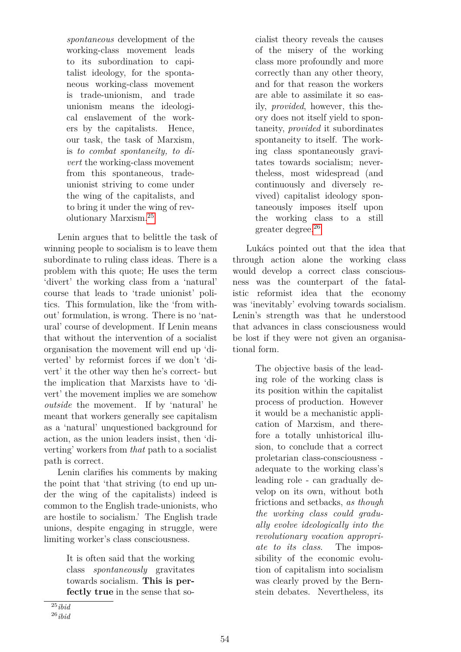*spontaneous* development of the working-class movement leads to its subordination to capitalist ideology, for the spontaneous working-class movement is trade-unionism, and trade unionism means the ideological enslavement of the workers by the capitalists. Hence, our task, the task of Marxism, is *to combat spontaneity, to divert* the working-class movement from this spontaneous, tradeunionist striving to come under the wing of the capitalists, and to bring it under the wing of revolutionary Marxism.[25](#page-8-0)

Lenin argues that to belittle the task of winning people to socialism is to leave them subordinate to ruling class ideas. There is a problem with this quote; He uses the term 'divert' the working class from a 'natural' course that leads to 'trade unionist' politics. This formulation, like the 'from without' formulation, is wrong. There is no 'natural' course of development. If Lenin means that without the intervention of a socialist organisation the movement will end up 'diverted' by reformist forces if we don't 'divert' it the other way then he's correct- but the implication that Marxists have to 'divert' the movement implies we are somehow *outside* the movement. If by 'natural' he meant that workers generally see capitalism as a 'natural' unquestioned background for action, as the union leaders insist, then 'diverting' workers from *that* path to a socialist path is correct.

Lenin clarifies his comments by making the point that 'that striving (to end up under the wing of the capitalists) indeed is common to the English trade-unionists, who are hostile to socialism.' The English trade unions, despite engaging in struggle, were limiting worker's class consciousness.

> It is often said that the working class *spontaneously* gravitates towards socialism. **This is perfectly true** in the sense that so-

<span id="page-8-1"></span><sup>26</sup>*ibid*

cialist theory reveals the causes of the misery of the working class more profoundly and more correctly than any other theory, and for that reason the workers are able to assimilate it so easily, *provided*, however, this theory does not itself yield to spontaneity, *provided* it subordinates spontaneity to itself. The working class spontaneously gravitates towards socialism; nevertheless, most widespread (and continuously and diversely revived) capitalist ideology spontaneously imposes itself upon the working class to a still greater degree.[26](#page-8-1)

Lukács pointed out that the idea that through action alone the working class would develop a correct class consciousness was the counterpart of the fatalistic reformist idea that the economy was 'inevitably' evolving towards socialism. Lenin's strength was that he understood that advances in class consciousness would be lost if they were not given an organisational form.

> The objective basis of the leading role of the working class is its position within the capitalist process of production. However it would be a mechanistic application of Marxism, and therefore a totally unhistorical illusion, to conclude that a correct proletarian class-consciousness adequate to the working class's leading role - can gradually develop on its own, without both frictions and setbacks, *as though the working class could gradually evolve ideologically into the revolutionary vocation appropriate to its class*. The impossibility of the economic evolution of capitalism into socialism was clearly proved by the Bernstein debates. Nevertheless, its

<span id="page-8-0"></span><sup>25</sup>*ibid*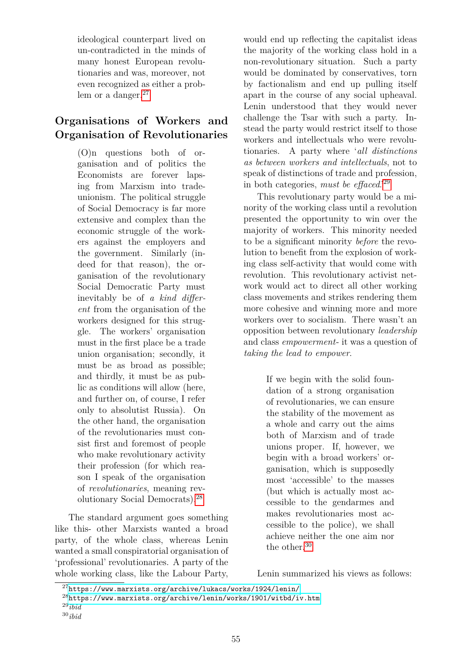ideological counterpart lived on un-contradicted in the minds of many honest European revolutionaries and was, moreover, not even recognized as either a problem or a danger. $27$ 

## **Organisations of Workers and Organisation of Revolutionaries**

(O)n questions both of organisation and of politics the Economists are forever lapsing from Marxism into tradeunionism. The political struggle of Social Democracy is far more extensive and complex than the economic struggle of the workers against the employers and the government. Similarly (indeed for that reason), the organisation of the revolutionary Social Democratic Party must inevitably be of *a kind different* from the organisation of the workers designed for this struggle. The workers' organisation must in the first place be a trade union organisation; secondly, it must be as broad as possible; and thirdly, it must be as public as conditions will allow (here, and further on, of course, I refer only to absolutist Russia). On the other hand, the organisation of the revolutionaries must consist first and foremost of people who make revolutionary activity their profession (for which reason I speak of the organisation of *revolutionaries*, meaning revolutionary Social Democrats).[28](#page-9-1)

The standard argument goes something like this- other Marxists wanted a broad party, of the whole class, whereas Lenin wanted a small conspiratorial organisation of 'professional' revolutionaries. A party of the whole working class, like the Labour Party,

would end up reflecting the capitalist ideas the majority of the working class hold in a non-revolutionary situation. Such a party would be dominated by conservatives, torn by factionalism and end up pulling itself apart in the course of any social upheaval. Lenin understood that they would never challenge the Tsar with such a party. Instead the party would restrict itself to those workers and intellectuals who were revolutionaries. A party where '*all distinctions as between workers and intellectuals*, not to speak of distinctions of trade and profession, in both categories, *must be effaced*.'[29](#page-9-2)

This revolutionary party would be a minority of the working class until a revolution presented the opportunity to win over the majority of workers. This minority needed to be a significant minority *before* the revolution to benefit from the explosion of working class self-activity that would come with revolution. This revolutionary activist network would act to direct all other working class movements and strikes rendering them more cohesive and winning more and more workers over to socialism. There wasn't an opposition between revolutionary *leadership* and class *empowerment*- it was a question of *taking the lead to empower*.

> If we begin with the solid foundation of a strong organisation of revolutionaries, we can ensure the stability of the movement as a whole and carry out the aims both of Marxism and of trade unions proper. If, however, we begin with a broad workers' organisation, which is supposedly most 'accessible' to the masses (but which is actually most accessible to the gendarmes and makes revolutionaries most accessible to the police), we shall achieve neither the one aim nor the other.<sup>[30](#page-9-3)</sup>

Lenin summarized his views as follows:

<span id="page-9-0"></span><sup>27</sup><https://www.marxists.org/archive/lukacs/works/1924/lenin/>

<span id="page-9-2"></span><span id="page-9-1"></span> $^{28}$ <https://www.marxists.org/archive/lenin/works/1901/witbd/iv.htm> <sup>29</sup>*ibid*

<span id="page-9-3"></span><sup>30</sup>*ibid*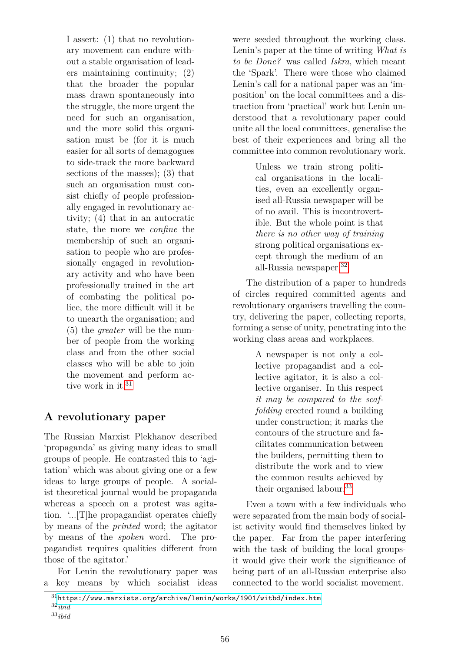I assert: (1) that no revolutionary movement can endure without a stable organisation of leaders maintaining continuity; (2) that the broader the popular mass drawn spontaneously into the struggle, the more urgent the need for such an organisation, and the more solid this organisation must be (for it is much easier for all sorts of demagogues to side-track the more backward sections of the masses); (3) that such an organisation must consist chiefly of people professionally engaged in revolutionary activity; (4) that in an autocratic state, the more we *confine* the membership of such an organisation to people who are professionally engaged in revolutionary activity and who have been professionally trained in the art of combating the political police, the more difficult will it be to unearth the organisation; and (5) the *greater* will be the number of people from the working class and from the other social classes who will be able to join the movement and perform active work in it. $31$ 

### **A revolutionary paper**

The Russian Marxist Plekhanov described 'propaganda' as giving many ideas to small groups of people. He contrasted this to 'agitation' which was about giving one or a few ideas to large groups of people. A socialist theoretical journal would be propaganda whereas a speech on a protest was agitation. '...[T]he propagandist operates chiefly by means of the *printed* word; the agitator by means of the *spoken* word. The propagandist requires qualities different from those of the agitator.'

For Lenin the revolutionary paper was a key means by which socialist ideas Unless we train strong political organisations in the localities, even an excellently organised all-Russia newspaper will be of no avail. This is incontrovertible. But the whole point is that *there is no other way of training* strong political organisations except through the medium of an all-Russia newspaper.[32](#page-10-1)

The distribution of a paper to hundreds of circles required committed agents and revolutionary organisers travelling the country, delivering the paper, collecting reports, forming a sense of unity, penetrating into the working class areas and workplaces.

> A newspaper is not only a collective propagandist and a collective agitator, it is also a collective organiser. In this respect *it may be compared to the scaffolding* erected round a building under construction; it marks the contours of the structure and facilitates communication between the builders, permitting them to distribute the work and to view the common results achieved by their organised labour.[33](#page-10-2)

Even a town with a few individuals who were separated from the main body of socialist activity would find themselves linked by the paper. Far from the paper interfering with the task of building the local groupsit would give their work the significance of being part of an all-Russian enterprise also connected to the world socialist movement.

were seeded throughout the working class. Lenin's paper at the time of writing *What is to be Done?* was called *Iskra*, which meant the 'Spark'. There were those who claimed Lenin's call for a national paper was an 'imposition' on the local committees and a distraction from 'practical' work but Lenin understood that a revolutionary paper could unite all the local committees, generalise the best of their experiences and bring all the committee into common revolutionary work.

<span id="page-10-2"></span><span id="page-10-1"></span><span id="page-10-0"></span> $31$ <https://www.marxists.org/archive/lenin/works/1901/witbd/index.htm> <sup>32</sup>*ibid* <sup>33</sup>*ibid*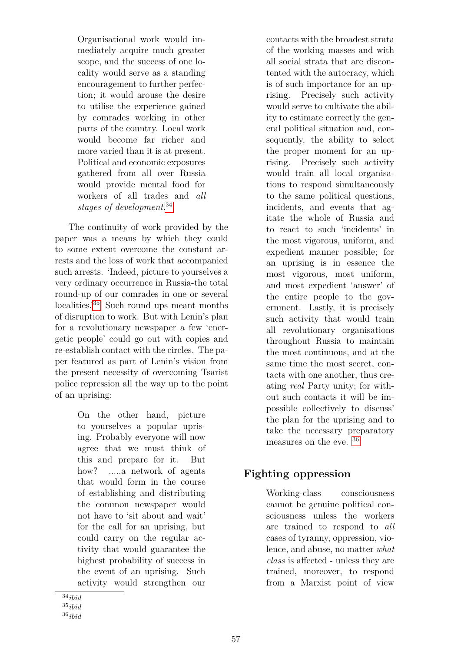Organisational work would immediately acquire much greater scope, and the success of one locality would serve as a standing encouragement to further perfection; it would arouse the desire to utilise the experience gained by comrades working in other parts of the country. Local work would become far richer and more varied than it is at present. Political and economic exposures gathered from all over Russia would provide mental food for workers of all trades and *all stages of development*. [34](#page-11-0)

The continuity of work provided by the paper was a means by which they could to some extent overcome the constant arrests and the loss of work that accompanied such arrests. 'Indeed, picture to yourselves a very ordinary occurrence in Russia-the total round-up of our comrades in one or several localities.'[35](#page-11-1) Such round ups meant months of disruption to work. But with Lenin's plan for a revolutionary newspaper a few 'energetic people' could go out with copies and re-establish contact with the circles. The paper featured as part of Lenin's vision from the present necessity of overcoming Tsarist police repression all the way up to the point of an uprising:

> On the other hand, picture to yourselves a popular uprising. Probably everyone will now agree that we must think of this and prepare for it. But how? .....a network of agents that would form in the course of establishing and distributing the common newspaper would not have to 'sit about and wait' for the call for an uprising, but could carry on the regular activity that would guarantee the highest probability of success in the event of an uprising. Such activity would strengthen our

contacts with the broadest strata of the working masses and with all social strata that are discontented with the autocracy, which is of such importance for an uprising. Precisely such activity would serve to cultivate the ability to estimate correctly the general political situation and, consequently, the ability to select the proper moment for an uprising. Precisely such activity would train all local organisations to respond simultaneously to the same political questions, incidents, and events that agitate the whole of Russia and to react to such 'incidents' in the most vigorous, uniform, and expedient manner possible; for an uprising is in essence the most vigorous, most uniform, and most expedient 'answer' of the entire people to the government. Lastly, it is precisely such activity that would train all revolutionary organisations throughout Russia to maintain the most continuous, and at the same time the most secret, contacts with one another, thus creating *real* Party unity; for without such contacts it will be impossible collectively to discuss' the plan for the uprising and to take the necessary preparatory measures on the eve. [36](#page-11-2)

# **Fighting oppression**

Working-class consciousness cannot be genuine political consciousness unless the workers are trained to respond to *all* cases of tyranny, oppression, violence, and abuse, no matter *what class* is affected - unless they are trained, moreover, to respond from a Marxist point of view

<span id="page-11-2"></span><span id="page-11-1"></span><span id="page-11-0"></span><sup>34</sup>*ibid* <sup>35</sup>*ibid*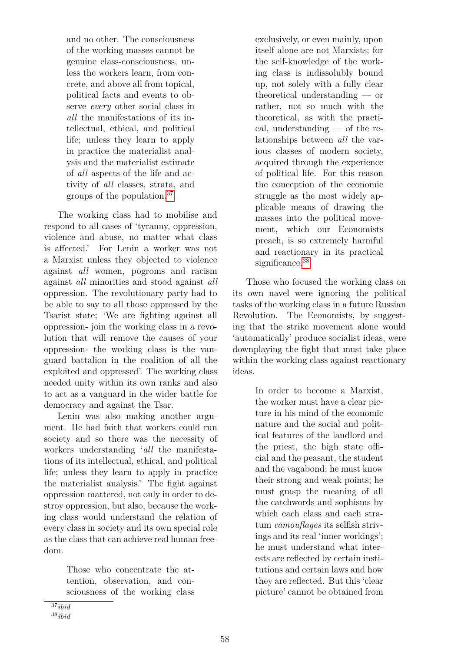and no other. The consciousness of the working masses cannot be genuine class-consciousness, unless the workers learn, from concrete, and above all from topical, political facts and events to observe *every* other social class in *all* the manifestations of its intellectual, ethical, and political life; unless they learn to apply in practice the materialist analysis and the materialist estimate of *all* aspects of the life and activity of *all* classes, strata, and groups of the population.[37](#page-12-0)

The working class had to mobilise and respond to all cases of 'tyranny, oppression, violence and abuse, no matter what class is affected.' For Lenin a worker was not a Marxist unless they objected to violence against *all* women, pogroms and racism against *all* minorities and stood against *all* oppression. The revolutionary party had to be able to say to all those oppressed by the Tsarist state; 'We are fighting against all oppression- join the working class in a revolution that will remove the causes of your oppression- the working class is the vanguard battalion in the coalition of all the exploited and oppressed'. The working class needed unity within its own ranks and also to act as a vanguard in the wider battle for democracy and against the Tsar.

Lenin was also making another argument. He had faith that workers could run society and so there was the necessity of workers understanding '*all* the manifestations of its intellectual, ethical, and political life; unless they learn to apply in practice the materialist analysis.' The fight against oppression mattered, not only in order to destroy oppression, but also, because the working class would understand the relation of every class in society and its own special role as the class that can achieve real human freedom.

> Those who concentrate the attention, observation, and consciousness of the working class

exclusively, or even mainly, upon itself alone are not Marxists; for the self-knowledge of the working class is indissolubly bound up, not solely with a fully clear theoretical understanding — or rather, not so much with the theoretical, as with the practical, understanding — of the relationships between *all* the various classes of modern society, acquired through the experience of political life. For this reason the conception of the economic struggle as the most widely applicable means of drawing the masses into the political movement, which our Economists preach, is so extremely harmful and reactionary in its practical significance.<sup>[38](#page-12-1)</sup>

Those who focused the working class on its own navel were ignoring the political tasks of the working class in a future Russian Revolution. The Economists, by suggesting that the strike movement alone would 'automatically' produce socialist ideas, were downplaying the fight that must take place within the working class against reactionary ideas.

> In order to become a Marxist, the worker must have a clear picture in his mind of the economic nature and the social and political features of the landlord and the priest, the high state official and the peasant, the student and the vagabond; he must know their strong and weak points; he must grasp the meaning of all the catchwords and sophisms by which each class and each stratum *camouflages* its selfish strivings and its real 'inner workings'; he must understand what interests are reflected by certain institutions and certain laws and how they are reflected. But this 'clear picture' cannot be obtained from

<span id="page-12-0"></span><sup>37</sup>*ibid*

<span id="page-12-1"></span><sup>38</sup>*ibid*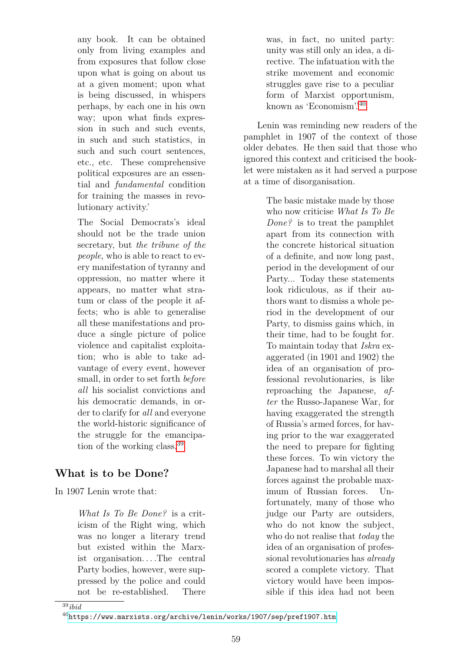any book. It can be obtained only from living examples and from exposures that follow close upon what is going on about us at a given moment; upon what is being discussed, in whispers perhaps, by each one in his own way; upon what finds expression in such and such events, in such and such statistics, in such and such court sentences, etc., etc. These comprehensive political exposures are an essential and *fundamental* condition for training the masses in revolutionary activity.'

The Social Democrats's ideal should not be the trade union secretary, but *the tribune of the people*, who is able to react to every manifestation of tyranny and oppression, no matter where it appears, no matter what stratum or class of the people it affects; who is able to generalise all these manifestations and produce a single picture of police violence and capitalist exploitation; who is able to take advantage of every event, however small, in order to set forth *before all* his socialist convictions and his democratic demands, in order to clarify for *all* and everyone the world-historic significance of the struggle for the emancipation of the working class.[39](#page-13-0)

## **What is to be Done?**

In 1907 Lenin wrote that:

*What Is To Be Done?* is a criticism of the Right wing, which was no longer a literary trend but existed within the Marxist organisation. . . .The central Party bodies, however, were suppressed by the police and could not be re-established. There was, in fact, no united party: unity was still only an idea, a directive. The infatuation with the strike movement and economic struggles gave rise to a peculiar form of Marxist opportunism, known as 'Economism'.'[40](#page-13-1)

Lenin was reminding new readers of the pamphlet in 1907 of the context of those older debates. He then said that those who ignored this context and criticised the booklet were mistaken as it had served a purpose at a time of disorganisation.

> The basic mistake made by those who now criticise *What Is To Be Done?* is to treat the pamphlet apart from its connection with the concrete historical situation of a definite, and now long past, period in the development of our Party... Today these statements look ridiculous, as if their authors want to dismiss a whole period in the development of our Party, to dismiss gains which, in their time, had to be fought for. To maintain today that *Iskra* exaggerated (in 1901 and 1902) the idea of an organisation of professional revolutionaries, is like reproaching the Japanese, *after* the Russo-Japanese War, for having exaggerated the strength of Russia's armed forces, for having prior to the war exaggerated the need to prepare for fighting these forces. To win victory the Japanese had to marshal all their forces against the probable maximum of Russian forces. Unfortunately, many of those who judge our Party are outsiders, who do not know the subject, who do not realise that *today* the idea of an organisation of professional revolutionaries has *already* scored a complete victory. That victory would have been impossible if this idea had not been

<span id="page-13-0"></span><sup>39</sup>*ibid*

<span id="page-13-1"></span> $^{40}\rm{https}$  ://www.marxists.org/archive/lenin/works/1907/sep/pref1907.htm